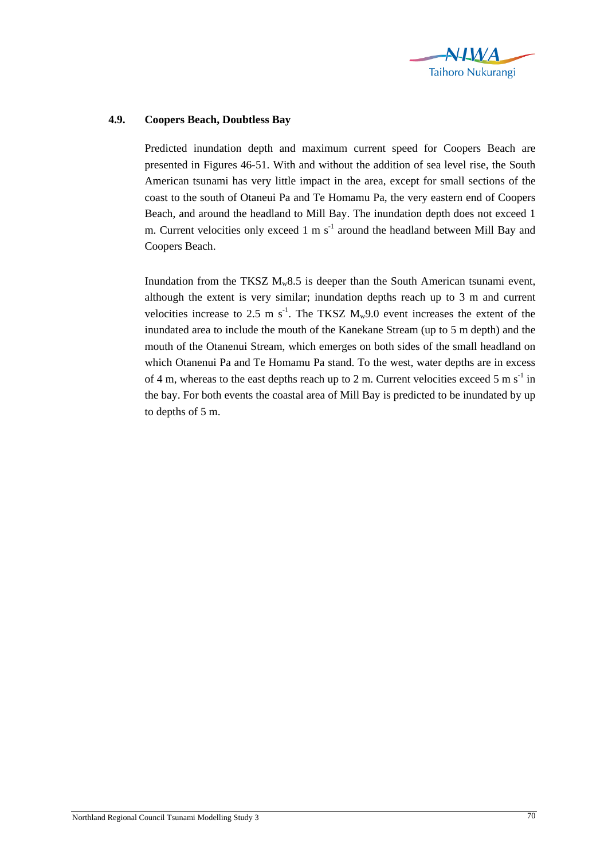

## **4.9. Coopers Beach, Doubtless Bay**

Predicted inundation depth and maximum current speed for Coopers Beach are presented in Figures 46-51. With and without the addition of sea level rise, the South American tsunami has very little impact in the area, except for small sections of the coast to the south of Otaneui Pa and Te Homamu Pa, the very eastern end of Coopers Beach, and around the headland to Mill Bay. The inundation depth does not exceed 1 m. Current velocities only exceed 1 m  $s^{-1}$  around the headland between Mill Bay and Coopers Beach.

Inundation from the TKSZ  $M_w8.5$  is deeper than the South American tsunami event, although the extent is very similar; inundation depths reach up to 3 m and current velocities increase to 2.5 m  $s^{-1}$ . The TKSZ  $M_w$ 9.0 event increases the extent of the inundated area to include the mouth of the Kanekane Stream (up to 5 m depth) and the mouth of the Otanenui Stream, which emerges on both sides of the small headland on which Otanenui Pa and Te Homamu Pa stand. To the west, water depths are in excess of 4 m, whereas to the east depths reach up to 2 m. Current velocities exceed 5 m  $s^{-1}$  in the bay. For both events the coastal area of Mill Bay is predicted to be inundated by up to depths of 5 m.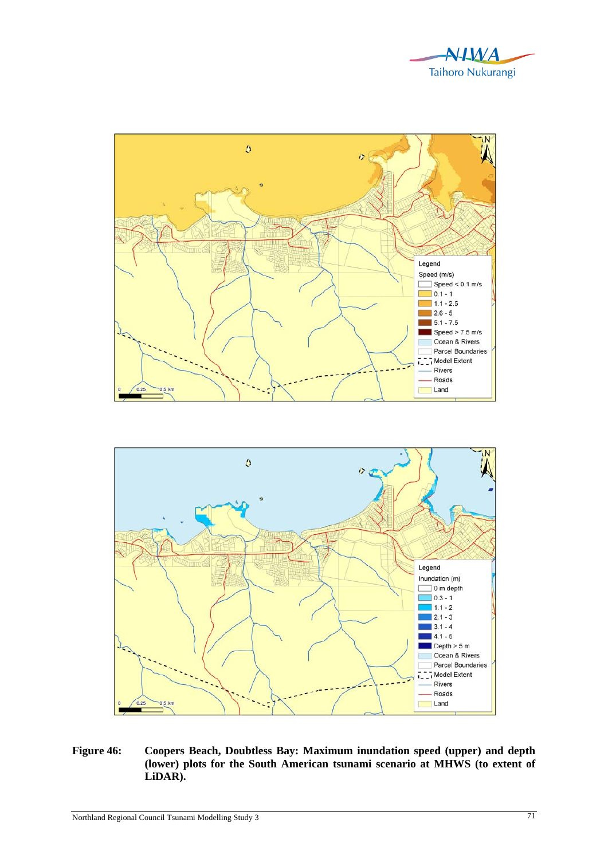





**Figure 46: Coopers Beach, Doubtless Bay: Maximum inundation speed (upper) and depth (lower) plots for the South American tsunami scenario at MHWS (to extent of LiDAR).**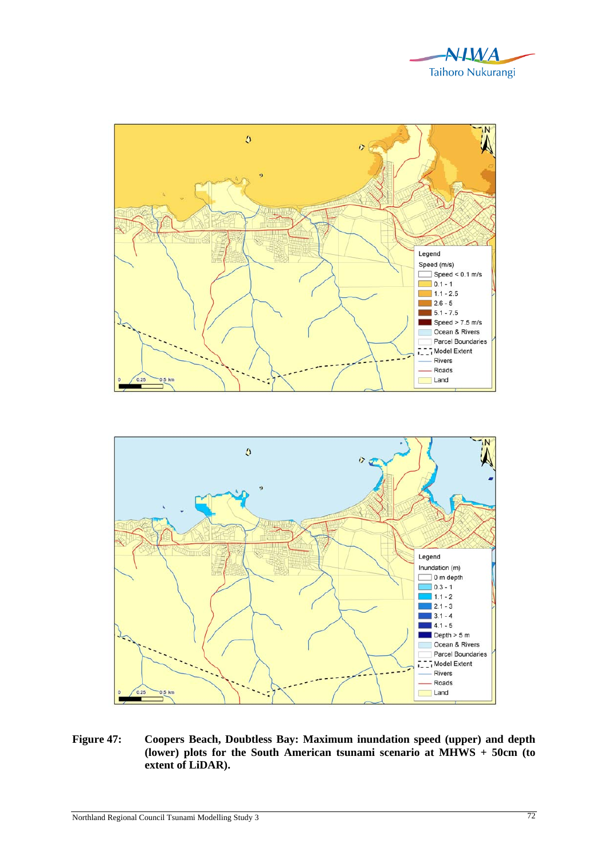





**Figure 47: Coopers Beach, Doubtless Bay: Maximum inundation speed (upper) and depth (lower) plots for the South American tsunami scenario at MHWS + 50cm (to extent of LiDAR).**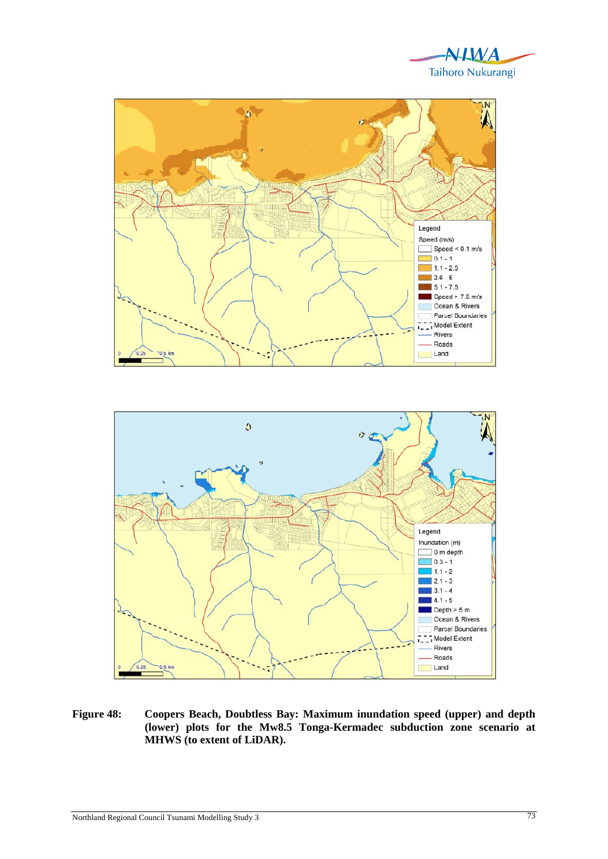





**Figure 48: Coopers Beach, Doubtless Bay: Maximum inundation speed (upper) and depth (lower) plots for the Mw8.5 Tonga-Kermadec subduction zone scenario at MHWS (to extent of LiDAR).**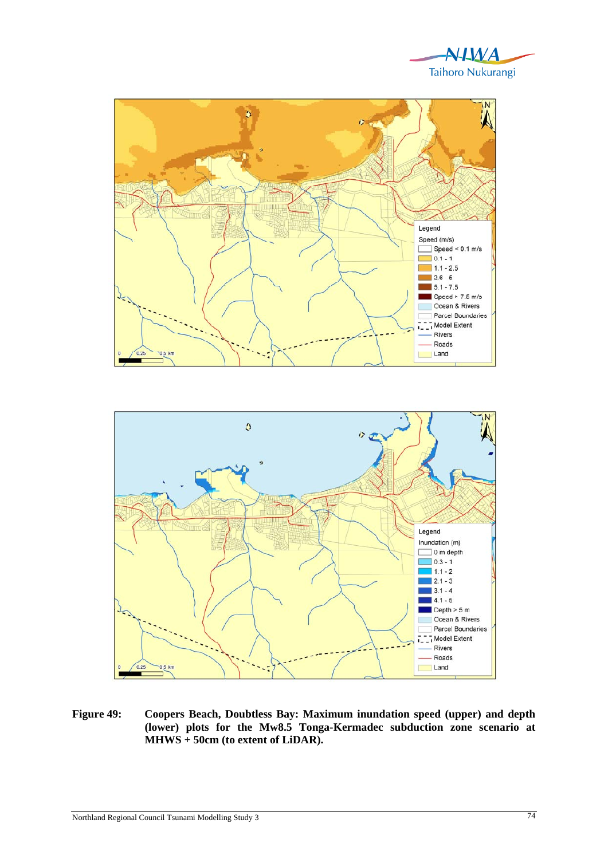





**Figure 49: Coopers Beach, Doubtless Bay: Maximum inundation speed (upper) and depth (lower) plots for the Mw8.5 Tonga-Kermadec subduction zone scenario at MHWS + 50cm (to extent of LiDAR).**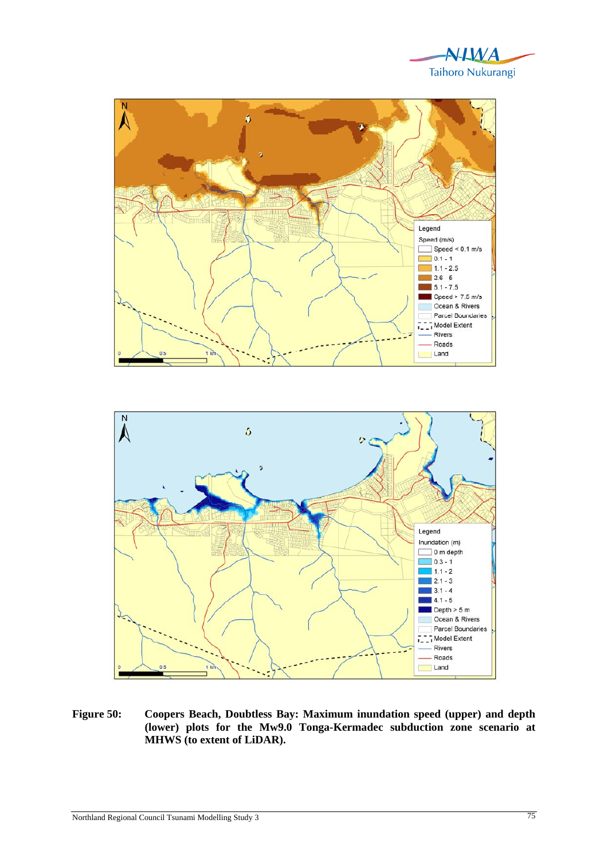





**Figure 50: Coopers Beach, Doubtless Bay: Maximum inundation speed (upper) and depth (lower) plots for the Mw9.0 Tonga-Kermadec subduction zone scenario at MHWS (to extent of LiDAR).**